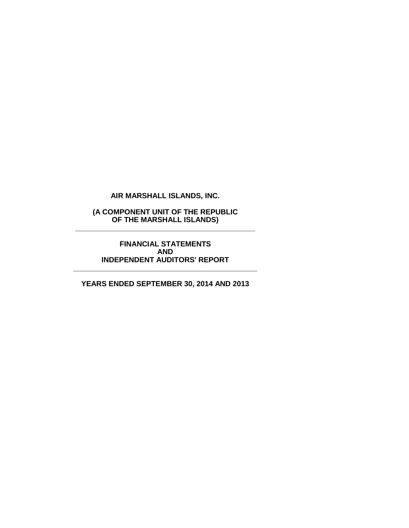**(A COMPONENT UNIT OF THE REPUBLIC OF THE MARSHALL ISLANDS) \_\_\_\_\_\_\_\_\_\_\_\_\_\_\_\_\_\_\_\_\_\_\_\_\_\_\_\_\_\_\_\_\_\_\_\_\_\_\_\_\_\_\_\_**

> **FINANCIAL STATEMENTS AND INDEPENDENT AUDITORS' REPORT**

**\_\_\_\_\_\_\_\_\_\_\_\_\_\_\_\_\_\_\_\_\_\_\_\_\_\_\_\_\_\_\_\_\_\_\_\_\_\_\_\_\_\_\_\_\_**

**YEARS ENDED SEPTEMBER 30, 2014 AND 2013**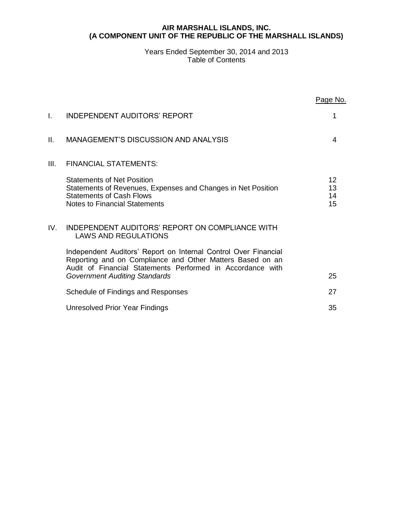### **AIR MARSHALL ISLANDS, INC. (A COMPONENT UNIT OF THE REPUBLIC OF THE MARSHALL ISLANDS)**

### Years Ended September 30, 2014 and 2013 Table of Contents

|      |                                                                                                                                                                                                                                    | Page No.             |
|------|------------------------------------------------------------------------------------------------------------------------------------------------------------------------------------------------------------------------------------|----------------------|
| I.   | <b>INDEPENDENT AUDITORS' REPORT</b>                                                                                                                                                                                                | 1                    |
| Ш.   | MANAGEMENT'S DISCUSSION AND ANALYSIS                                                                                                                                                                                               | 4                    |
| III. | <b>FINANCIAL STATEMENTS:</b>                                                                                                                                                                                                       |                      |
|      | <b>Statements of Net Position</b><br>Statements of Revenues, Expenses and Changes in Net Position<br><b>Statements of Cash Flows</b><br><b>Notes to Financial Statements</b>                                                       | 12<br>13<br>14<br>15 |
| IV.  | INDEPENDENT AUDITORS' REPORT ON COMPLIANCE WITH<br><b>LAWS AND REGULATIONS</b>                                                                                                                                                     |                      |
|      | Independent Auditors' Report on Internal Control Over Financial<br>Reporting and on Compliance and Other Matters Based on an<br>Audit of Financial Statements Performed in Accordance with<br><b>Government Auditing Standards</b> | 25                   |
|      | Schedule of Findings and Responses                                                                                                                                                                                                 | 27                   |
|      | Unresolved Prior Year Findings                                                                                                                                                                                                     | 35                   |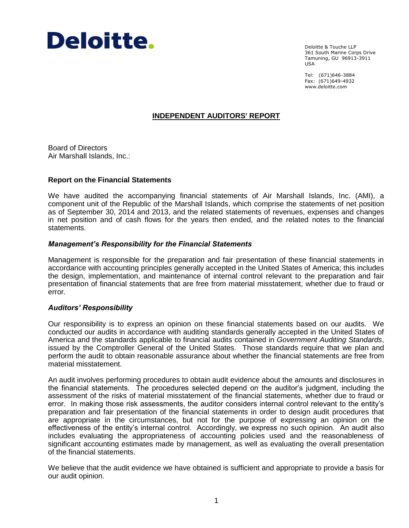

Deloitte & Touche LLP 361 South Marine Corps Drive Tamuning, GU 96913-3911 USA

Tel: (671)646-3884 Fax: (671)649-4932 www.deloitte.com

### **INDEPENDENT AUDITORS' REPORT**

Board of Directors Air Marshall Islands, Inc.:

#### **Report on the Financial Statements**

We have audited the accompanying financial statements of Air Marshall Islands, Inc. (AMI), a component unit of the Republic of the Marshall Islands, which comprise the statements of net position as of September 30, 2014 and 2013, and the related statements of revenues, expenses and changes in net position and of cash flows for the years then ended, and the related notes to the financial statements.

#### *Management's Responsibility for the Financial Statements*

Management is responsible for the preparation and fair presentation of these financial statements in accordance with accounting principles generally accepted in the United States of America; this includes the design, implementation, and maintenance of internal control relevant to the preparation and fair presentation of financial statements that are free from material misstatement, whether due to fraud or error.

#### *Auditors' Responsibility*

Our responsibility is to express an opinion on these financial statements based on our audits. We conducted our audits in accordance with auditing standards generally accepted in the United States of America and the standards applicable to financial audits contained in *Government Auditing Standards*, issued by the Comptroller General of the United States. Those standards require that we plan and perform the audit to obtain reasonable assurance about whether the financial statements are free from material misstatement.

An audit involves performing procedures to obtain audit evidence about the amounts and disclosures in the financial statements. The procedures selected depend on the auditor's judgment, including the assessment of the risks of material misstatement of the financial statements, whether due to fraud or error. In making those risk assessments, the auditor considers internal control relevant to the entity's preparation and fair presentation of the financial statements in order to design audit procedures that are appropriate in the circumstances, but not for the purpose of expressing an opinion on the effectiveness of the entity's internal control. Accordingly, we express no such opinion. An audit also includes evaluating the appropriateness of accounting policies used and the reasonableness of significant accounting estimates made by management, as well as evaluating the overall presentation of the financial statements.

We believe that the audit evidence we have obtained is sufficient and appropriate to provide a basis for our audit opinion.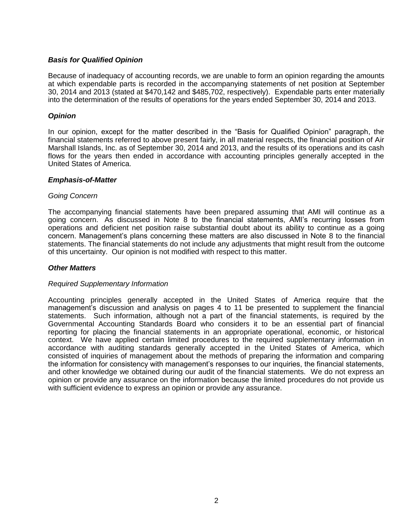### *Basis for Qualified Opinion*

Because of inadequacy of accounting records, we are unable to form an opinion regarding the amounts at which expendable parts is recorded in the accompanying statements of net position at September 30, 2014 and 2013 (stated at \$470,142 and \$485,702, respectively). Expendable parts enter materially into the determination of the results of operations for the years ended September 30, 2014 and 2013.

### *Opinion*

In our opinion, except for the matter described in the "Basis for Qualified Opinion" paragraph, the financial statements referred to above present fairly, in all material respects, the financial position of Air Marshall Islands, Inc. as of September 30, 2014 and 2013, and the results of its operations and its cash flows for the years then ended in accordance with accounting principles generally accepted in the United States of America.

### *Emphasis-of-Matter*

#### *Going Concern*

The accompanying financial statements have been prepared assuming that AMI will continue as a going concern. As discussed in Note 8 to the financial statements, AMI's recurring losses from operations and deficient net position raise substantial doubt about its ability to continue as a going concern. Management's plans concerning these matters are also discussed in Note 8 to the financial statements. The financial statements do not include any adjustments that might result from the outcome of this uncertainty. Our opinion is not modified with respect to this matter.

### *Other Matters*

#### *Required Supplementary Information*

Accounting principles generally accepted in the United States of America require that the management's discussion and analysis on pages 4 to 11 be presented to supplement the financial statements. Such information, although not a part of the financial statements, is required by the Governmental Accounting Standards Board who considers it to be an essential part of financial reporting for placing the financial statements in an appropriate operational, economic, or historical context. We have applied certain limited procedures to the required supplementary information in accordance with auditing standards generally accepted in the United States of America, which consisted of inquiries of management about the methods of preparing the information and comparing the information for consistency with management's responses to our inquiries, the financial statements, and other knowledge we obtained during our audit of the financial statements. We do not express an opinion or provide any assurance on the information because the limited procedures do not provide us with sufficient evidence to express an opinion or provide any assurance.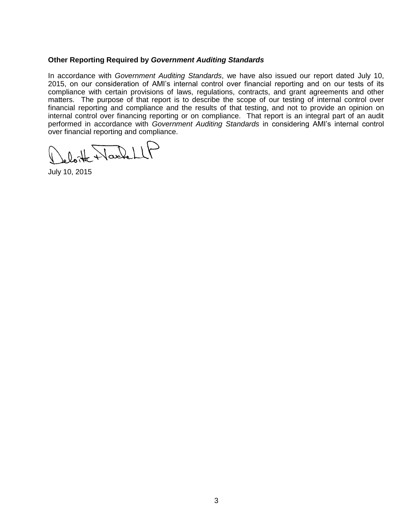### **Other Reporting Required by** *Government Auditing Standards*

In accordance with *Government Auditing Standards*, we have also issued our report dated July 10, 2015, on our consideration of AMI's internal control over financial reporting and on our tests of its compliance with certain provisions of laws, regulations, contracts, and grant agreements and other matters. The purpose of that report is to describe the scope of our testing of internal control over financial reporting and compliance and the results of that testing, and not to provide an opinion on internal control over financing reporting or on compliance. That report is an integral part of an audit performed in accordance with *Government Auditing Standards* in considering AMI's internal control over financial reporting and compliance.

lotte Hardell

July 10, 2015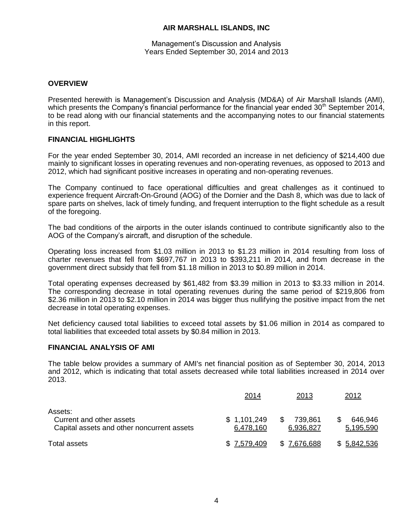#### Management's Discussion and Analysis Years Ended September 30, 2014 and 2013

#### **OVERVIEW**

Presented herewith is Management's Discussion and Analysis (MD&A) of Air Marshall Islands (AMI), which presents the Company's financial performance for the financial year ended  $30<sup>th</sup>$  September 2014, to be read along with our financial statements and the accompanying notes to our financial statements in this report.

### **FINANCIAL HIGHLIGHTS**

For the year ended September 30, 2014, AMI recorded an increase in net deficiency of \$214,400 due mainly to significant losses in operating revenues and non-operating revenues, as opposed to 2013 and 2012, which had significant positive increases in operating and non-operating revenues.

The Company continued to face operational difficulties and great challenges as it continued to experience frequent Aircraft-On-Ground (AOG) of the Dornier and the Dash 8, which was due to lack of spare parts on shelves, lack of timely funding, and frequent interruption to the flight schedule as a result of the foregoing.

The bad conditions of the airports in the outer islands continued to contribute significantly also to the AOG of the Company's aircraft, and disruption of the schedule.

Operating loss increased from \$1.03 million in 2013 to \$1.23 million in 2014 resulting from loss of charter revenues that fell from \$697,767 in 2013 to \$393,211 in 2014, and from decrease in the government direct subsidy that fell from \$1.18 million in 2013 to \$0.89 million in 2014.

Total operating expenses decreased by \$61,482 from \$3.39 million in 2013 to \$3.33 million in 2014. The corresponding decrease in total operating revenues during the same period of \$219,806 from \$2.36 million in 2013 to \$2.10 million in 2014 was bigger thus nullifying the positive impact from the net decrease in total operating expenses.

Net deficiency caused total liabilities to exceed total assets by \$1.06 million in 2014 as compared to total liabilities that exceeded total assets by \$0.84 million in 2013.

#### **FINANCIAL ANALYSIS OF AMI**

The table below provides a summary of AMI's net financial position as of September 30, 2014, 2013 and 2012, which is indicating that total assets decreased while total liabilities increased in 2014 over 2013.

|                                                                                   | 2014                     | 2013                 | 2012                 |
|-----------------------------------------------------------------------------------|--------------------------|----------------------|----------------------|
| Assets:<br>Current and other assets<br>Capital assets and other noncurrent assets | \$1,101,249<br>6,478,160 | 739,861<br>6,936,827 | 646,946<br>5,195,590 |
| Total assets                                                                      | \$7,579,409              | \$7,676,688          | \$ 5,842,536         |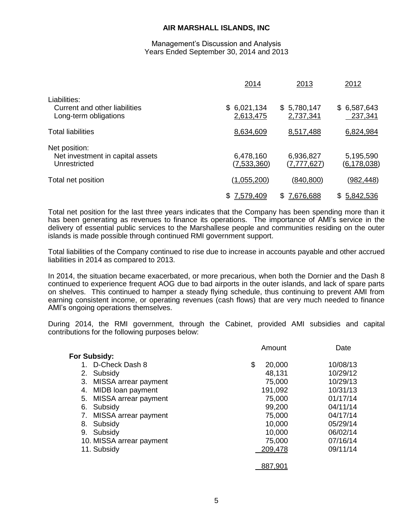#### Management's Discussion and Analysis Years Ended September 30, 2014 and 2013

|                                                                        | 2014                         | 2013                       | 2012                            |
|------------------------------------------------------------------------|------------------------------|----------------------------|---------------------------------|
| Liabilities:<br>Current and other liabilities<br>Long-term obligations | \$<br>6,021,134<br>2,613,475 | \$5,780,147<br>2,737,341   | \$6,587,643<br>237,341          |
| <b>Total liabilities</b>                                               | 8,634,609                    | 8,517,488                  | 6,824,984                       |
| Net position:<br>Net investment in capital assets<br>Unrestricted      | 6,478,160<br>(7,533,360)     | 6,936,827<br>(7, 777, 627) | 5,195,590<br><u>(6,178,038)</u> |
| Total net position                                                     | (1,055,200)                  | (840, 800)                 | (982,448)                       |
|                                                                        | 7,579,409                    | 7,676,688<br>S             | S<br>5,842,536                  |

Total net position for the last three years indicates that the Company has been spending more than it has been generating as revenues to finance its operations. The importance of AMI's service in the delivery of essential public services to the Marshallese people and communities residing on the outer islands is made possible through continued RMI government support.

Total liabilities of the Company continued to rise due to increase in accounts payable and other accrued liabilities in 2014 as compared to 2013.

In 2014, the situation became exacerbated, or more precarious, when both the Dornier and the Dash 8 continued to experience frequent AOG due to bad airports in the outer islands, and lack of spare parts on shelves. This continued to hamper a steady flying schedule, thus continuing to prevent AMI from earning consistent income, or operating revenues (cash flows) that are very much needed to finance AMI's ongoing operations themselves.

During 2014, the RMI government, through the Cabinet, provided AMI subsidies and capital contributions for the following purposes below:

|                            | Amount       | Date     |
|----------------------------|--------------|----------|
| <b>For Subsidy:</b>        |              |          |
| 1. D-Check Dash 8          | \$<br>20,000 | 10/08/13 |
| Subsidy<br>2.              | 48,131       | 10/29/12 |
| MISSA arrear payment<br>3. | 75,000       | 10/29/13 |
| MIDB loan payment<br>4.    | 191,092      | 10/31/13 |
| MISSA arrear payment<br>5. | 75,000       | 01/17/14 |
| Subsidy<br>6.              | 99,200       | 04/11/14 |
| MISSA arrear payment<br>7. | 75,000       | 04/17/14 |
| Subsidy<br>8.              | 10,000       | 05/29/14 |
| Subsidy<br>9.              | 10,000       | 06/02/14 |
| 10. MISSA arrear payment   | 75,000       | 07/16/14 |
| 11. Subsidy                | 209,478      | 09/11/14 |
|                            | 887,901      |          |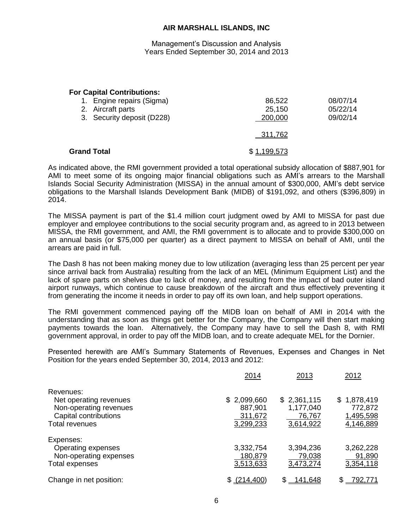Management's Discussion and Analysis Years Ended September 30, 2014 and 2013

#### **For Capital Contributions:**

| 1. Engine repairs (Sigma)<br>2. Aircraft parts<br>3. Security deposit (D228) | 86,522<br>25,150<br>200,000 | 08/07/14<br>05/22/14<br>09/02/14 |
|------------------------------------------------------------------------------|-----------------------------|----------------------------------|
|                                                                              | 311,762                     |                                  |
| <b>Grand Total</b>                                                           | \$1,199,573                 |                                  |

As indicated above, the RMI government provided a total operational subsidy allocation of \$887,901 for AMI to meet some of its ongoing major financial obligations such as AMI's arrears to the Marshall Islands Social Security Administration (MISSA) in the annual amount of \$300,000, AMI's debt service obligations to the Marshall Islands Development Bank (MIDB) of \$191,092, and others (\$396,809) in 2014.

The MISSA payment is part of the \$1.4 million court judgment owed by AMI to MISSA for past due employer and employee contributions to the social security program and, as agreed to in 2013 between MISSA, the RMI government, and AMI, the RMI government is to allocate and to provide \$300,000 on an annual basis (or \$75,000 per quarter) as a direct payment to MISSA on behalf of AMI, until the arrears are paid in full.

The Dash 8 has not been making money due to low utilization (averaging less than 25 percent per year since arrival back from Australia) resulting from the lack of an MEL (Minimum Equipment List) and the lack of spare parts on shelves due to lack of money, and resulting from the impact of bad outer island airport runways, which continue to cause breakdown of the aircraft and thus effectively preventing it from generating the income it needs in order to pay off its own loan, and help support operations.

The RMI government commenced paying off the MIDB loan on behalf of AMI in 2014 with the understanding that as soon as things get better for the Company, the Company will then start making payments towards the loan. Alternatively, the Company may have to sell the Dash 8, with RMI government approval, in order to pay off the MIDB loan, and to create adequate MEL for the Dornier.

Presented herewith are AMI's Summary Statements of Revenues, Expenses and Changes in Net Position for the years ended September 30, 2014, 2013 and 2012:

|                         | 2014        | 2013           | 2012          |
|-------------------------|-------------|----------------|---------------|
| Revenues:               |             |                |               |
| Net operating revenues  | \$2,099,660 | \$2,361,115    | \$1,878,419   |
| Non-operating revenues  | 887,901     | 1,177,040      | 772,872       |
| Capital contributions   | 311,672     | 76,767         | 1,495,598     |
| <b>Total revenues</b>   | 3,299,233   | 3,614,922      | 4,146,889     |
| Expenses:               |             |                |               |
| Operating expenses      | 3,332,754   | 3,394,236      | 3,262,228     |
| Non-operating expenses  | 180,879     | 79,038         | 91,890        |
| Total expenses          | 3,513,633   | 3,473,274      | 3,354,118     |
| Change in net position: | \$(214.400) | <u>141.648</u> | \$<br>792.771 |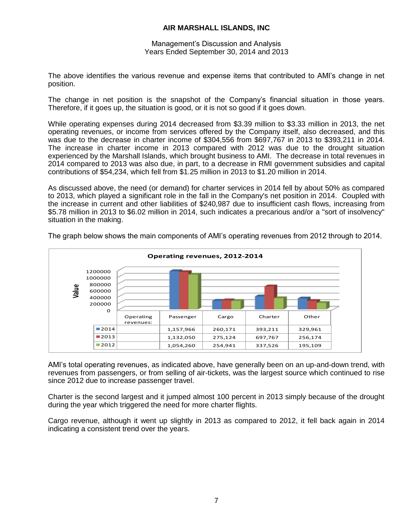Management's Discussion and Analysis Years Ended September 30, 2014 and 2013

The above identifies the various revenue and expense items that contributed to AMI's change in net position.

The change in net position is the snapshot of the Company's financial situation in those years. Therefore, if it goes up, the situation is good, or it is not so good if it goes down.

While operating expenses during 2014 decreased from \$3.39 million to \$3.33 million in 2013, the net operating revenues, or income from services offered by the Company itself, also decreased, and this was due to the decrease in charter income of \$304,556 from \$697,767 in 2013 to \$393,211 in 2014. The increase in charter income in 2013 compared with 2012 was due to the drought situation experienced by the Marshall Islands, which brought business to AMI. The decrease in total revenues in 2014 compared to 2013 was also due, in part, to a decrease in RMI government subsidies and capital contributions of \$54,234, which fell from \$1.25 million in 2013 to \$1.20 million in 2014.

As discussed above, the need (or demand) for charter services in 2014 fell by about 50% as compared to 2013, which played a significant role in the fall in the Company's net position in 2014. Coupled with the increase in current and other liabilities of \$240,987 due to insufficient cash flows, increasing from \$5.78 million in 2013 to \$6.02 million in 2014, such indicates a precarious and/or a "sort of insolvency" situation in the making.



The graph below shows the main components of AMI's operating revenues from 2012 through to 2014.

AMI's total operating revenues, as indicated above, have generally been on an up-and-down trend, with revenues from passengers, or from selling of air-tickets, was the largest source which continued to rise since 2012 due to increase passenger travel.

Charter is the second largest and it jumped almost 100 percent in 2013 simply because of the drought during the year which triggered the need for more charter flights.

Cargo revenue, although it went up slightly in 2013 as compared to 2012, it fell back again in 2014 indicating a consistent trend over the years.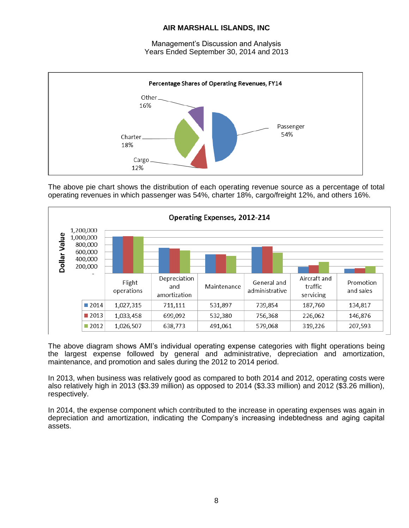Management's Discussion and Analysis Years Ended September 30, 2014 and 2013



The above pie chart shows the distribution of each operating revenue source as a percentage of total operating revenues in which passenger was 54%, charter 18%, cargo/freight 12%, and others 16%.



The above diagram shows AMI's individual operating expense categories with flight operations being the largest expense followed by general and administrative, depreciation and amortization, maintenance, and promotion and sales during the 2012 to 2014 period.

In 2013, when business was relatively good as compared to both 2014 and 2012, operating costs were also relatively high in 2013 (\$3.39 million) as opposed to 2014 (\$3.33 million) and 2012 (\$3.26 million), respectively.

In 2014, the expense component which contributed to the increase in operating expenses was again in depreciation and amortization, indicating the Company's increasing indebtedness and aging capital assets.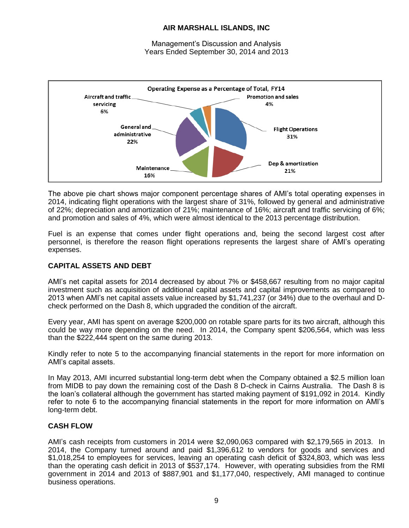Management's Discussion and Analysis Years Ended September 30, 2014 and 2013



The above pie chart shows major component percentage shares of AMI's total operating expenses in 2014, indicating flight operations with the largest share of 31%, followed by general and administrative of 22%; depreciation and amortization of 21%; maintenance of 16%; aircraft and traffic servicing of 6%; and promotion and sales of 4%, which were almost identical to the 2013 percentage distribution.

Fuel is an expense that comes under flight operations and, being the second largest cost after personnel, is therefore the reason flight operations represents the largest share of AMI's operating expenses.

### **CAPITAL ASSETS AND DEBT**

AMI's net capital assets for 2014 decreased by about 7% or \$458,667 resulting from no major capital investment such as acquisition of additional capital assets and capital improvements as compared to 2013 when AMI's net capital assets value increased by \$1,741,237 (or 34%) due to the overhaul and Dcheck performed on the Dash 8, which upgraded the condition of the aircraft.

Every year, AMI has spent on average \$200,000 on rotable spare parts for its two aircraft, although this could be way more depending on the need. In 2014, the Company spent \$206,564, which was less than the \$222,444 spent on the same during 2013.

Kindly refer to note 5 to the accompanying financial statements in the report for more information on AMI's capital assets.

In May 2013, AMI incurred substantial long-term debt when the Company obtained a \$2.5 million loan from MIDB to pay down the remaining cost of the Dash 8 D-check in Cairns Australia. The Dash 8 is the loan's collateral although the government has started making payment of \$191,092 in 2014. Kindly refer to note 6 to the accompanying financial statements in the report for more information on AMI's long-term debt.

### **CASH FLOW**

AMI's cash receipts from customers in 2014 were \$2,090,063 compared with \$2,179,565 in 2013. In 2014, the Company turned around and paid \$1,396,612 to vendors for goods and services and \$1,018,254 to employees for services, leaving an operating cash deficit of \$324,803, which was less than the operating cash deficit in 2013 of \$537,174. However, with operating subsidies from the RMI government in 2014 and 2013 of \$887,901 and \$1,177,040, respectively, AMI managed to continue business operations.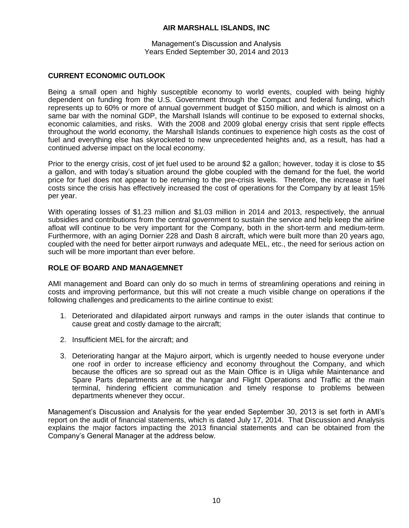Management's Discussion and Analysis Years Ended September 30, 2014 and 2013

### **CURRENT ECONOMIC OUTLOOK**

Being a small open and highly susceptible economy to world events, coupled with being highly dependent on funding from the U.S. Government through the Compact and federal funding, which represents up to 60% or more of annual government budget of \$150 million, and which is almost on a same bar with the nominal GDP, the Marshall Islands will continue to be exposed to external shocks, economic calamities, and risks. With the 2008 and 2009 global energy crisis that sent ripple effects throughout the world economy, the Marshall Islands continues to experience high costs as the cost of fuel and everything else has skyrocketed to new unprecedented heights and, as a result, has had a continued adverse impact on the local economy.

Prior to the energy crisis, cost of jet fuel used to be around \$2 a gallon; however, today it is close to \$5 a gallon, and with today's situation around the globe coupled with the demand for the fuel, the world price for fuel does not appear to be returning to the pre-crisis levels. Therefore, the increase in fuel costs since the crisis has effectively increased the cost of operations for the Company by at least 15% per year.

With operating losses of \$1.23 million and \$1.03 million in 2014 and 2013, respectively, the annual subsidies and contributions from the central government to sustain the service and help keep the airline afloat will continue to be very important for the Company, both in the short-term and medium-term. Furthermore, with an aging Dornier 228 and Dash 8 aircraft, which were built more than 20 years ago, coupled with the need for better airport runways and adequate MEL, etc., the need for serious action on such will be more important than ever before.

### **ROLE OF BOARD AND MANAGEMNET**

AMI management and Board can only do so much in terms of streamlining operations and reining in costs and improving performance, but this will not create a much visible change on operations if the following challenges and predicaments to the airline continue to exist:

- 1. Deteriorated and dilapidated airport runways and ramps in the outer islands that continue to cause great and costly damage to the aircraft;
- 2. Insufficient MEL for the aircraft; and
- 3. Deteriorating hangar at the Majuro airport, which is urgently needed to house everyone under one roof in order to increase efficiency and economy throughout the Company, and which because the offices are so spread out as the Main Office is in Uliga while Maintenance and Spare Parts departments are at the hangar and Flight Operations and Traffic at the main terminal, hindering efficient communication and timely response to problems between departments whenever they occur.

Management's Discussion and Analysis for the year ended September 30, 2013 is set forth in AMI's report on the audit of financial statements, which is dated July 17, 2014. That Discussion and Analysis explains the major factors impacting the 2013 financial statements and can be obtained from the Company's General Manager at the address below.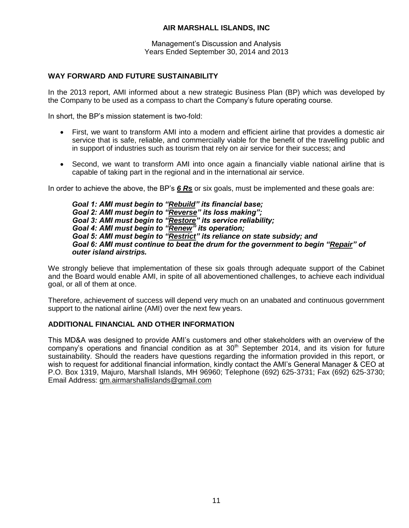Management's Discussion and Analysis Years Ended September 30, 2014 and 2013

### **WAY FORWARD AND FUTURE SUSTAINABILITY**

In the 2013 report, AMI informed about a new strategic Business Plan (BP) which was developed by the Company to be used as a compass to chart the Company's future operating course.

In short, the BP's mission statement is two-fold:

- First, we want to transform AMI into a modern and efficient airline that provides a domestic air service that is safe, reliable, and commercially viable for the benefit of the travelling public and in support of industries such as tourism that rely on air service for their success; and
- Second, we want to transform AMI into once again a financially viable national airline that is capable of taking part in the regional and in the international air service.

In order to achieve the above, the BP's *6 Rs* or six goals, must be implemented and these goals are:

*Goal 1: AMI must begin to "Rebuild" its financial base; Goal 2: AMI must begin to "Reverse" its loss making"; Goal 3: AMI must begin to "Restore" its service reliability; Goal 4: AMI must begin to "Renew" its operation; Goal 5: AMI must begin to "Restrict" its reliance on state subsidy; and Goal 6: AMI must continue to beat the drum for the government to begin "Repair" of outer island airstrips.* 

We strongly believe that implementation of these six goals through adequate support of the Cabinet and the Board would enable AMI, in spite of all abovementioned challenges, to achieve each individual goal, or all of them at once.

Therefore, achievement of success will depend very much on an unabated and continuous government support to the national airline (AMI) over the next few years.

### **ADDITIONAL FINANCIAL AND OTHER INFORMATION**

This MD&A was designed to provide AMI's customers and other stakeholders with an overview of the company's operations and financial condition as at 30<sup>th</sup> September 2014, and its vision for future sustainability. Should the readers have questions regarding the information provided in this report, or wish to request for additional financial information, kindly contact the AMI's General Manager & CEO at P.O. Box 1319, Majuro, Marshall Islands, MH 96960; Telephone (692) 625-3731; Fax (692) 625-3730; Email Address: [gm.airmarshallislands@gmail.com](mailto:gm.airmarshallislands@gmail.com)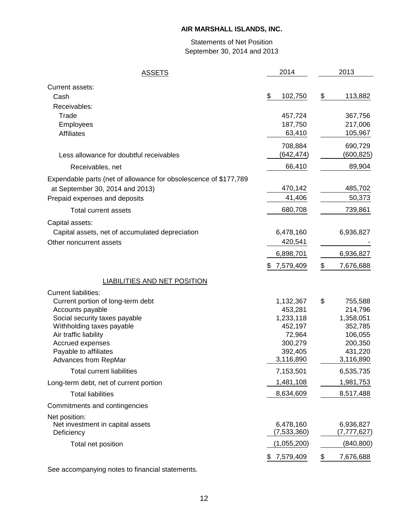# Statements of Net Position September 30, 2014 and 2013

| <b>ASSETS</b>                                                    | 2014            | 2013            |
|------------------------------------------------------------------|-----------------|-----------------|
| Current assets:                                                  |                 |                 |
| Cash                                                             | \$<br>102,750   | \$<br>113,882   |
| Receivables:                                                     |                 |                 |
| Trade                                                            | 457,724         | 367,756         |
| Employees                                                        | 187,750         | 217,006         |
| <b>Affiliates</b>                                                | 63,410          | 105,967         |
|                                                                  | 708,884         | 690,729         |
| Less allowance for doubtful receivables                          | (642, 474)      | (600,825)       |
| Receivables, net                                                 | 66,410          | 89,904          |
| Expendable parts (net of allowance for obsolescence of \$177,789 |                 |                 |
| at September 30, 2014 and 2013)                                  | 470,142         | 485,702         |
| Prepaid expenses and deposits                                    | 41,406          | 50,373          |
| Total current assets                                             | 680,708         | 739,861         |
| Capital assets:                                                  |                 |                 |
| Capital assets, net of accumulated depreciation                  | 6,478,160       | 6,936,827       |
| Other noncurrent assets                                          | 420,541         |                 |
|                                                                  | 6,898,701       | 6,936,827       |
|                                                                  | \$7,579,409     | \$<br>7,676,688 |
| <b>LIABILITIES AND NET POSITION</b>                              |                 |                 |
| <b>Current liabilities:</b>                                      |                 |                 |
| Current portion of long-term debt                                | 1,132,367       | \$<br>755,588   |
| Accounts payable                                                 | 453,281         | 214,796         |
| Social security taxes payable                                    | 1,233,118       | 1,358,051       |
| Withholding taxes payable                                        | 452,197         | 352,785         |
| Air traffic liability                                            | 72,964          | 106,055         |
| Accrued expenses                                                 | 300,279         | 200,350         |
| Payable to affiliates                                            | 392,405         | 431,220         |
| Advances from RepMar                                             | 3,116,890       | 3,116,890       |
| <b>Total current liabilities</b>                                 | 7,153,501       | 6,535,735       |
| Long-term debt, net of current portion                           | 1,481,108       | 1,981,753       |
| <b>Total liabilities</b>                                         | 8,634,609       | 8,517,488       |
| Commitments and contingencies                                    |                 |                 |
| Net position:                                                    |                 |                 |
| Net investment in capital assets                                 | 6,478,160       | 6,936,827       |
| Deficiency                                                       | (7, 533, 360)   | (7, 777, 627)   |
| Total net position                                               | (1,055,200)     | (840, 800)      |
|                                                                  | 7,579,409<br>\$ | \$<br>7,676,688 |

See accompanying notes to financial statements.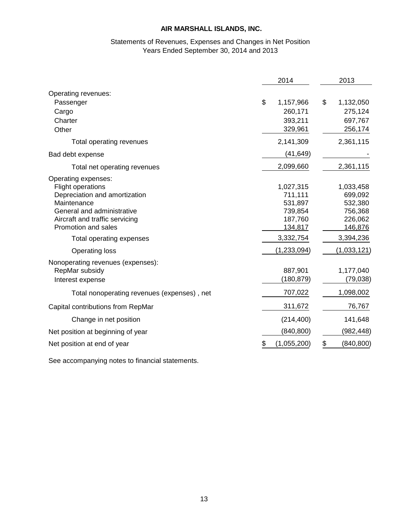# Statements of Revenues, Expenses and Changes in Net Position Years Ended September 30, 2014 and 2013

|                                                                                                                                                                                        | 2014                                                             | 2013                                                             |
|----------------------------------------------------------------------------------------------------------------------------------------------------------------------------------------|------------------------------------------------------------------|------------------------------------------------------------------|
| Operating revenues:<br>Passenger<br>Cargo<br>Charter<br>Other                                                                                                                          | \$<br>1,157,966<br>260,171<br>393,211<br>329,961                 | \$<br>1,132,050<br>275,124<br>697,767<br>256,174                 |
| Total operating revenues                                                                                                                                                               | 2,141,309                                                        | 2,361,115                                                        |
| Bad debt expense                                                                                                                                                                       | (41, 649)                                                        |                                                                  |
| Total net operating revenues                                                                                                                                                           | 2,099,660                                                        | 2,361,115                                                        |
| Operating expenses:<br><b>Flight operations</b><br>Depreciation and amortization<br>Maintenance<br>General and administrative<br>Aircraft and traffic servicing<br>Promotion and sales | 1,027,315<br>711,111<br>531,897<br>739,854<br>187,760<br>134,817 | 1,033,458<br>699,092<br>532,380<br>756,368<br>226,062<br>146,876 |
| Total operating expenses                                                                                                                                                               | 3,332,754                                                        | 3,394,236                                                        |
| <b>Operating loss</b>                                                                                                                                                                  | (1,233,094)                                                      | (1,033,121)                                                      |
| Nonoperating revenues (expenses):<br>RepMar subsidy<br>Interest expense                                                                                                                | 887,901<br>(180,879)                                             | 1,177,040<br>(79, 038)                                           |
| Total nonoperating revenues (expenses), net                                                                                                                                            | 707,022                                                          | 1,098,002                                                        |
| Capital contributions from RepMar                                                                                                                                                      | 311,672                                                          | 76,767                                                           |
| Change in net position                                                                                                                                                                 | (214, 400)                                                       | 141,648                                                          |
| Net position at beginning of year                                                                                                                                                      | (840, 800)                                                       | (982, 448)                                                       |
| Net position at end of year                                                                                                                                                            | \$<br>(1,055,200)                                                | \$<br>(840, 800)                                                 |

See accompanying notes to financial statements.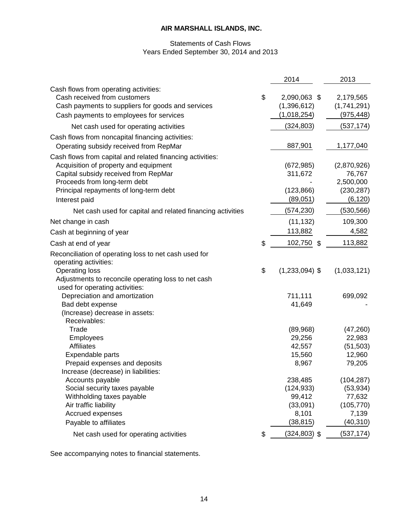### Statements of Cash Flows Years Ended September 30, 2014 and 2013

|                                                            | 2014                   | 2013                |
|------------------------------------------------------------|------------------------|---------------------|
| Cash flows from operating activities:                      |                        |                     |
| Cash received from customers                               | \$<br>2,090,063 \$     | 2,179,565           |
| Cash payments to suppliers for goods and services          | (1,396,612)            | (1,741,291)         |
| Cash payments to employees for services                    | (1,018,254)            | (975, 448)          |
| Net cash used for operating activities                     | (324, 803)             | (537, 174)          |
| Cash flows from noncapital financing activities:           |                        |                     |
| Operating subsidy received from RepMar                     | 887,901                | 1,177,040           |
| Cash flows from capital and related financing activities:  |                        |                     |
| Acquisition of property and equipment                      | (672, 985)             | (2,870,926)         |
| Capital subsidy received from RepMar                       | 311,672                | 76,767              |
| Proceeds from long-term debt                               |                        | 2,500,000           |
| Principal repayments of long-term debt                     | (123, 866)             | (230, 287)          |
| Interest paid                                              | (89,051)               | (6, 120)            |
| Net cash used for capital and related financing activities | (574, 230)             | (530, 566)          |
| Net change in cash                                         | (11, 132)              | 109,300             |
| Cash at beginning of year                                  | 113,882                | 4,582               |
| Cash at end of year                                        | \$<br>102,750 \$       | 113,882             |
| Reconciliation of operating loss to net cash used for      |                        |                     |
| operating activities:                                      |                        |                     |
| <b>Operating loss</b>                                      | \$<br>$(1,233,094)$ \$ | (1,033,121)         |
| Adjustments to reconcile operating loss to net cash        |                        |                     |
| used for operating activities:                             |                        |                     |
| Depreciation and amortization                              | 711,111                | 699,092             |
| Bad debt expense                                           | 41,649                 |                     |
| (Increase) decrease in assets:                             |                        |                     |
| Receivables:<br>Trade                                      |                        |                     |
| Employees                                                  | (89,968)<br>29,256     | (47, 260)<br>22,983 |
| <b>Affiliates</b>                                          | 42,557                 | (51, 503)           |
| Expendable parts                                           | 15,560                 | 12,960              |
| Prepaid expenses and deposits                              | 8,967                  | 79,205              |
| Increase (decrease) in liabilities:                        |                        |                     |
| Accounts payable                                           | 238,485                | (104, 287)          |
| Social security taxes payable                              | (124, 933)             | (53, 934)           |
| Withholding taxes payable                                  | 99,412                 | 77,632              |
| Air traffic liability                                      | (33,091)               | (105, 770)          |
| Accrued expenses                                           | 8,101                  | 7,139               |
| Payable to affiliates                                      | (38, 815)              | (40, 310)           |
| Net cash used for operating activities                     | \$<br>$(324, 803)$ \$  | (537, 174)          |

See accompanying notes to financial statements.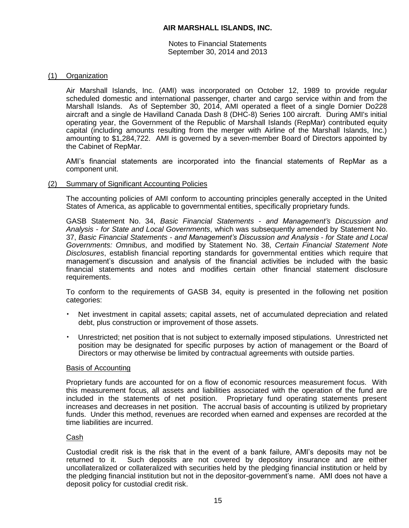Notes to Financial Statements September 30, 2014 and 2013

### (1) Organization

Air Marshall Islands, Inc. (AMI) was incorporated on October 12, 1989 to provide regular scheduled domestic and international passenger, charter and cargo service within and from the Marshall Islands. As of September 30, 2014, AMI operated a fleet of a single Dornier Do228 aircraft and a single de Havilland Canada Dash 8 (DHC-8) Series 100 aircraft. During AMI's initial operating year, the Government of the Republic of Marshall Islands (RepMar) contributed equity capital (including amounts resulting from the merger with Airline of the Marshall Islands, Inc.) amounting to \$1,284,722. AMI is governed by a seven-member Board of Directors appointed by the Cabinet of RepMar.

AMI's financial statements are incorporated into the financial statements of RepMar as a component unit.

### (2) Summary of Significant Accounting Policies

The accounting policies of AMI conform to accounting principles generally accepted in the United States of America, as applicable to governmental entities, specifically proprietary funds.

GASB Statement No. 34, *Basic Financial Statements - and Management's Discussion and Analysis - for State and Local Governments*, which was subsequently amended by Statement No. 37, *Basic Financial Statements - and Management's Discussion and Analysis - for State and Local Governments: Omnibus*, and modified by Statement No. 38, *Certain Financial Statement Note Disclosures*, establish financial reporting standards for governmental entities which require that management's discussion and analysis of the financial activities be included with the basic financial statements and notes and modifies certain other financial statement disclosure requirements.

To conform to the requirements of GASB 34, equity is presented in the following net position categories:

- Net investment in capital assets; capital assets, net of accumulated depreciation and related debt, plus construction or improvement of those assets.
- Unrestricted; net position that is not subject to externally imposed stipulations. Unrestricted net position may be designated for specific purposes by action of management or the Board of Directors or may otherwise be limited by contractual agreements with outside parties.

### Basis of Accounting

Proprietary funds are accounted for on a flow of economic resources measurement focus. With this measurement focus, all assets and liabilities associated with the operation of the fund are included in the statements of net position. Proprietary fund operating statements present increases and decreases in net position. The accrual basis of accounting is utilized by proprietary funds. Under this method, revenues are recorded when earned and expenses are recorded at the time liabilities are incurred.

### Cash

Custodial credit risk is the risk that in the event of a bank failure, AMI's deposits may not be returned to it. Such deposits are not covered by depository insurance and are either uncollateralized or collateralized with securities held by the pledging financial institution or held by the pledging financial institution but not in the depositor-government's name. AMI does not have a deposit policy for custodial credit risk.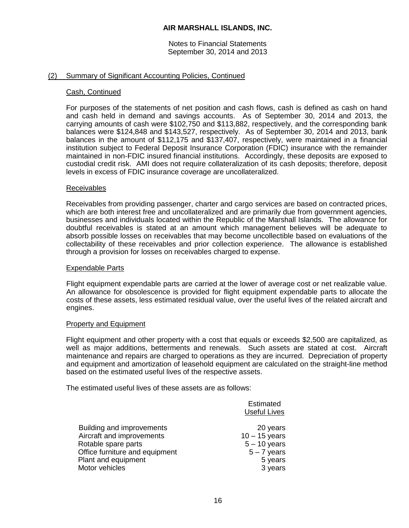Notes to Financial Statements September 30, 2014 and 2013

#### (2) Summary of Significant Accounting Policies, Continued

#### Cash, Continued

For purposes of the statements of net position and cash flows, cash is defined as cash on hand and cash held in demand and savings accounts. As of September 30, 2014 and 2013, the carrying amounts of cash were \$102,750 and \$113,882, respectively, and the corresponding bank balances were \$124,848 and \$143,527, respectively. As of September 30, 2014 and 2013, bank balances in the amount of \$112,175 and \$137,407, respectively, were maintained in a financial institution subject to Federal Deposit Insurance Corporation (FDIC) insurance with the remainder maintained in non-FDIC insured financial institutions. Accordingly, these deposits are exposed to custodial credit risk. AMI does not require collateralization of its cash deposits; therefore, deposit levels in excess of FDIC insurance coverage are uncollateralized.

#### Receivables

Receivables from providing passenger, charter and cargo services are based on contracted prices, which are both interest free and uncollateralized and are primarily due from government agencies, businesses and individuals located within the Republic of the Marshall Islands. The allowance for doubtful receivables is stated at an amount which management believes will be adequate to absorb possible losses on receivables that may become uncollectible based on evaluations of the collectability of these receivables and prior collection experience. The allowance is established through a provision for losses on receivables charged to expense.

#### Expendable Parts

Flight equipment expendable parts are carried at the lower of average cost or net realizable value. An allowance for obsolescence is provided for flight equipment expendable parts to allocate the costs of these assets, less estimated residual value, over the useful lives of the related aircraft and engines.

#### Property and Equipment

Flight equipment and other property with a cost that equals or exceeds \$2,500 are capitalized, as well as major additions, betterments and renewals. Such assets are stated at cost. Aircraft maintenance and repairs are charged to operations as they are incurred. Depreciation of property and equipment and amortization of leasehold equipment are calculated on the straight-line method based on the estimated useful lives of the respective assets.

The estimated useful lives of these assets are as follows:

|                                | <b>Estimated</b><br><b>Useful Lives</b> |
|--------------------------------|-----------------------------------------|
| Building and improvements      | 20 years                                |
| Aircraft and improvements      | $10 - 15$ years                         |
| Rotable spare parts            | $5 - 10$ years                          |
| Office furniture and equipment | $5 - 7$ years                           |
| Plant and equipment            | 5 years                                 |
| Motor vehicles                 | 3 years                                 |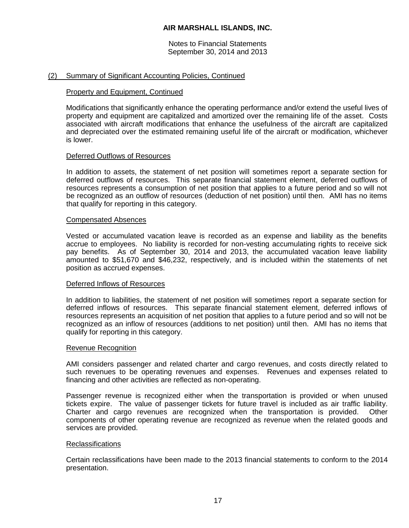Notes to Financial Statements September 30, 2014 and 2013

#### (2) Summary of Significant Accounting Policies, Continued

#### Property and Equipment, Continued

Modifications that significantly enhance the operating performance and/or extend the useful lives of property and equipment are capitalized and amortized over the remaining life of the asset. Costs associated with aircraft modifications that enhance the usefulness of the aircraft are capitalized and depreciated over the estimated remaining useful life of the aircraft or modification, whichever is lower.

#### Deferred Outflows of Resources

In addition to assets, the statement of net position will sometimes report a separate section for deferred outflows of resources. This separate financial statement element, deferred outflows of resources represents a consumption of net position that applies to a future period and so will not be recognized as an outflow of resources (deduction of net position) until then. AMI has no items that qualify for reporting in this category.

#### Compensated Absences

Vested or accumulated vacation leave is recorded as an expense and liability as the benefits accrue to employees. No liability is recorded for non-vesting accumulating rights to receive sick pay benefits. As of September 30, 2014 and 2013, the accumulated vacation leave liability amounted to \$51,670 and \$46,232, respectively, and is included within the statements of net position as accrued expenses.

#### Deferred Inflows of Resources

In addition to liabilities, the statement of net position will sometimes report a separate section for deferred inflows of resources. This separate financial statement element, deferred inflows of resources represents an acquisition of net position that applies to a future period and so will not be recognized as an inflow of resources (additions to net position) until then. AMI has no items that qualify for reporting in this category.

#### Revenue Recognition

AMI considers passenger and related charter and cargo revenues, and costs directly related to such revenues to be operating revenues and expenses. Revenues and expenses related to financing and other activities are reflected as non-operating.

Passenger revenue is recognized either when the transportation is provided or when unused tickets expire. The value of passenger tickets for future travel is included as air traffic liability. Charter and cargo revenues are recognized when the transportation is provided. Other components of other operating revenue are recognized as revenue when the related goods and services are provided.

#### **Reclassifications**

Certain reclassifications have been made to the 2013 financial statements to conform to the 2014 presentation.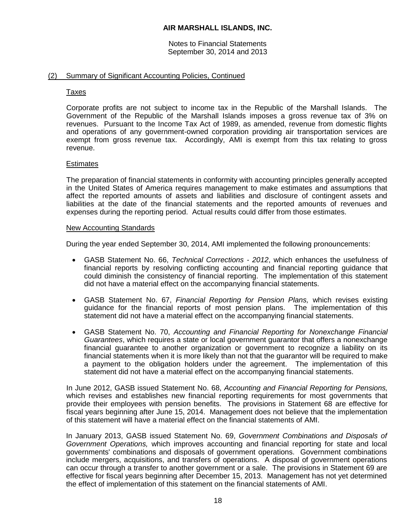Notes to Financial Statements September 30, 2014 and 2013

### (2) Summary of Significant Accounting Policies, Continued

#### Taxes

Corporate profits are not subject to income tax in the Republic of the Marshall Islands. The Government of the Republic of the Marshall Islands imposes a gross revenue tax of 3% on revenues. Pursuant to the Income Tax Act of 1989, as amended, revenue from domestic flights and operations of any government-owned corporation providing air transportation services are exempt from gross revenue tax. Accordingly, AMI is exempt from this tax relating to gross revenue.

#### **Estimates**

The preparation of financial statements in conformity with accounting principles generally accepted in the United States of America requires management to make estimates and assumptions that affect the reported amounts of assets and liabilities and disclosure of contingent assets and liabilities at the date of the financial statements and the reported amounts of revenues and expenses during the reporting period. Actual results could differ from those estimates.

#### New Accounting Standards

During the year ended September 30, 2014, AMI implemented the following pronouncements:

- GASB Statement No. 66, *Technical Corrections - 2012*, which enhances the usefulness of financial reports by resolving conflicting accounting and financial reporting guidance that could diminish the consistency of financial reporting. The implementation of this statement did not have a material effect on the accompanying financial statements.
- GASB Statement No. 67, *Financial Reporting for Pension Plans,* which revises existing guidance for the financial reports of most pension plans. The implementation of this statement did not have a material effect on the accompanying financial statements.
- GASB Statement No. 70, *Accounting and Financial Reporting for Nonexchange Financial Guarantees*, which requires a state or local government guarantor that offers a nonexchange financial guarantee to another organization or government to recognize a liability on its financial statements when it is more likely than not that the guarantor will be required to make a payment to the obligation holders under the agreement. The implementation of this statement did not have a material effect on the accompanying financial statements.

In June 2012, GASB issued Statement No. 68, *Accounting and Financial Reporting for Pensions,*  which revises and establishes new financial reporting requirements for most governments that provide their employees with pension benefits. The provisions in Statement 68 are effective for fiscal years beginning after June 15, 2014. Management does not believe that the implementation of this statement will have a material effect on the financial statements of AMI.

In January 2013, GASB issued Statement No. 69, *Government Combinations and Disposals of Government Operations,* which improves accounting and financial reporting for state and local governments' combinations and disposals of government operations. Government combinations include mergers, acquisitions, and transfers of operations. A disposal of government operations can occur through a transfer to another government or a sale. The provisions in Statement 69 are effective for fiscal years beginning after December 15, 2013. Management has not yet determined the effect of implementation of this statement on the financial statements of AMI.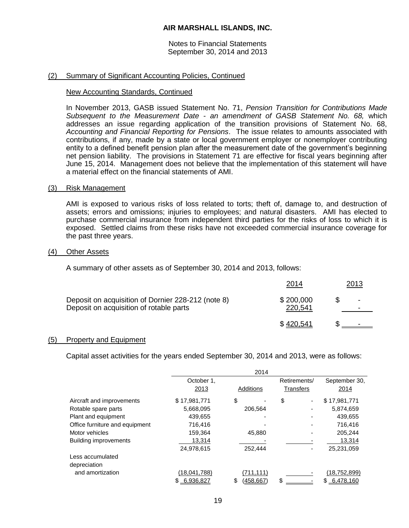#### Notes to Financial Statements September 30, 2014 and 2013

### (2) Summary of Significant Accounting Policies, Continued

#### New Accounting Standards, Continued

In November 2013, GASB issued Statement No. 71, *Pension Transition for Contributions Made Subsequent to the Measurement Date - an amendment of GASB Statement No. 68,* which addresses an issue regarding application of the transition provisions of Statement No. 68, *Accounting and Financial Reporting for Pensions*. The issue relates to amounts associated with contributions, if any, made by a state or local government employer or nonemployer contributing entity to a defined benefit pension plan after the measurement date of the government's beginning net pension liability. The provisions in Statement 71 are effective for fiscal years beginning after June 15, 2014. Management does not believe that the implementation of this statement will have a material effect on the financial statements of AMI.

#### (3) Risk Management

AMI is exposed to various risks of loss related to torts; theft of, damage to, and destruction of assets; errors and omissions; injuries to employees; and natural disasters. AMI has elected to purchase commercial insurance from independent third parties for the risks of loss to which it is exposed. Settled claims from these risks have not exceeded commercial insurance coverage for the past three years.

#### (4) Other Assets

A summary of other assets as of September 30, 2014 and 2013, follows:

|                                                                                               | 2014                 | <u> 2013 </u>            |
|-----------------------------------------------------------------------------------------------|----------------------|--------------------------|
| Deposit on acquisition of Dornier 228-212 (note 8)<br>Deposit on acquisition of rotable parts | \$200,000<br>220,541 | $\overline{\phantom{a}}$ |
|                                                                                               | \$420,541            |                          |

#### (5) Property and Equipment

Capital asset activities for the years ended September 30, 2014 and 2013, were as follows:

|                                |                  | 2014             |              |                |
|--------------------------------|------------------|------------------|--------------|----------------|
|                                | October 1,       |                  | Retirements/ | September 30,  |
|                                | 2013             | Additions        | Transfers    | 2014           |
| Aircraft and improvements      | \$17,981,771     | \$               | \$<br>٠      | \$17,981,771   |
| Rotable spare parts            | 5,668,095        | 206.564          |              | 5,874,659      |
| Plant and equipment            | 439.655          |                  |              | 439,655        |
| Office furniture and equipment | 716,416          |                  |              | 716.416        |
| Motor vehicles                 | 159.364          | 45,880           |              | 205,244        |
| <b>Building improvements</b>   | 13,314           |                  |              | 13,314         |
|                                | 24,978,615       | 252,444          |              | 25,231,059     |
| Less accumulated               |                  |                  |              |                |
| depreciation                   |                  |                  |              |                |
| and amortization               | (18,041,788)     | (711,111)        |              | (18, 752, 899) |
|                                | 6,936,827<br>\$. | (458, 667)<br>\$ | \$           | 6,478,160<br>S |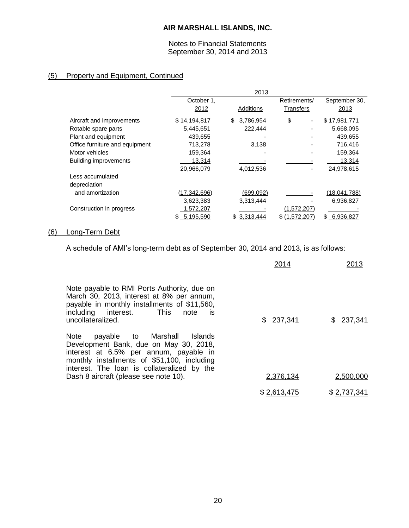Notes to Financial Statements September 30, 2014 and 2013

# (5) Property and Equipment, Continued

|                                |                 | 2013            |               |               |
|--------------------------------|-----------------|-----------------|---------------|---------------|
|                                | October 1,      |                 | Retirements/  | September 30, |
|                                | 2012            | Additions       | Transfers     | 2013          |
| Aircraft and improvements      | \$14,194,817    | \$<br>3,786,954 | \$            | \$17,981,771  |
| Rotable spare parts            | 5,445,651       | 222,444         |               | 5,668,095     |
| Plant and equipment            | 439,655         |                 |               | 439,655       |
| Office furniture and equipment | 713,278         | 3,138           |               | 716,416       |
| Motor vehicles                 | 159,364         | -               |               | 159,364       |
| <b>Building improvements</b>   | 13,314          |                 |               | 13,314        |
|                                | 20,966,079      | 4,012,536       |               | 24,978,615    |
| Less accumulated               |                 |                 |               |               |
| depreciation                   |                 |                 |               |               |
| and amortization               | (17,342,696)    | (699,092)       |               | (18,041,788)  |
|                                | 3,623,383       | 3,313,444       |               | 6,936,827     |
| Construction in progress       | 1,572,207       |                 | (1,572,207)   |               |
|                                | 5,195,590<br>S. | \$<br>3,313,444 | \$(1,572,207) | \$6,936,827   |

# (6) Long-Term Debt

A schedule of AMI's long-term debt as of September 30, 2014 and 2013, is as follows:

|                                                                                                                                                                                                                                                                          | 2014        | 2013        |
|--------------------------------------------------------------------------------------------------------------------------------------------------------------------------------------------------------------------------------------------------------------------------|-------------|-------------|
| Note payable to RMI Ports Authority, due on<br>March 30, 2013, interest at 8% per annum,<br>payable in monthly installments of \$11,560,<br>including interest. This note<br>is<br>uncollateralized.                                                                     | \$237,341   | \$237,341   |
| payable to Marshall<br><b>Note</b><br>Islands<br>Development Bank, due on May 30, 2018,<br>interest at 6.5% per annum, payable in<br>monthly installments of \$51,100, including<br>interest. The loan is collateralized by the<br>Dash 8 aircraft (please see note 10). | 2,376,134   | 2,500,000   |
|                                                                                                                                                                                                                                                                          |             |             |
|                                                                                                                                                                                                                                                                          | \$2,613,475 | \$2,737,341 |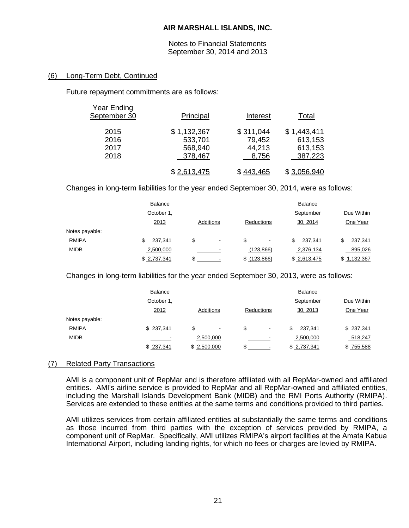Notes to Financial Statements September 30, 2014 and 2013

### (6) Long-Term Debt, Continued

Future repayment commitments are as follows:

| <b>Year Ending</b><br>September 30 | Principal                                    | Interest                               | Total                                        |
|------------------------------------|----------------------------------------------|----------------------------------------|----------------------------------------------|
| 2015<br>2016<br>2017<br>2018       | \$1,132,367<br>533,701<br>568,940<br>378,467 | \$311,044<br>79,452<br>44,213<br>8,756 | \$1,443,411<br>613,153<br>613,153<br>387,223 |
|                                    | \$2,613,475                                  | \$443,465                              | \$3,056,940                                  |

Changes in long-term liabilities for the year ended September 30, 2014, were as follows:

|                | <b>Balance</b> |                      |               | <b>Balance</b> |             |
|----------------|----------------|----------------------|---------------|----------------|-------------|
|                | October 1,     |                      |               | September      | Due Within  |
|                | 2013           | Additions            | Reductions    | 30, 2014       | One Year    |
| Notes payable: |                |                      |               |                |             |
| <b>RMIPA</b>   | 237,341<br>\$  | \$<br>$\blacksquare$ | \$            | 237.341<br>\$  | 237,341     |
| <b>MIDB</b>    | 2,500,000      |                      | (123, 866)    | 2,376,134      | 895,026     |
|                | \$2,737,341    |                      | \$ (123, 866) | \$2,613,475    | \$1,132,367 |

Changes in long-term liabilities for the year ended September 30, 2013, were as follows:

|                | <b>Balance</b> |                      |                     | <b>Balance</b> |            |
|----------------|----------------|----------------------|---------------------|----------------|------------|
|                | October 1,     |                      |                     | September      | Due Within |
|                | 2012           | Additions            | Reductions          | 30, 2013       | One Year   |
| Notes payable: |                |                      |                     |                |            |
| <b>RMIPA</b>   | \$237,341      | \$<br>$\blacksquare$ | S<br>$\blacksquare$ | 237.341<br>\$  | \$237,341  |
| <b>MIDB</b>    |                | 2,500,000            |                     | 2,500,000      | 518,247    |
|                | \$237,341      | \$2,500,000          |                     | \$ 2,737,341   | \$755,588  |

### (7) Related Party Transactions

AMI is a component unit of RepMar and is therefore affiliated with all RepMar-owned and affiliated entities. AMI's airline service is provided to RepMar and all RepMar-owned and affiliated entities, including the Marshall Islands Development Bank (MIDB) and the RMI Ports Authority (RMIPA). Services are extended to these entities at the same terms and conditions provided to third parties.

AMI utilizes services from certain affiliated entities at substantially the same terms and conditions as those incurred from third parties with the exception of services provided by RMIPA, a component unit of RepMar. Specifically, AMI utilizes RMIPA's airport facilities at the Amata Kabua International Airport, including landing rights, for which no fees or charges are levied by RMIPA.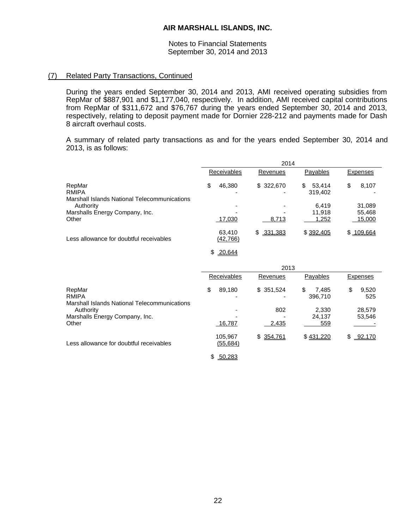#### Notes to Financial Statements September 30, 2014 and 2013

### (7) Related Party Transactions, Continued

During the years ended September 30, 2014 and 2013, AMI received operating subsidies from RepMar of \$887,901 and \$1,177,040, respectively. In addition, AMI received capital contributions from RepMar of \$311,672 and \$76,767 during the years ended September 30, 2014 and 2013, respectively, relating to deposit payment made for Dornier 228-212 and payments made for Dash 8 aircraft overhaul costs.

A summary of related party transactions as and for the years ended September 30, 2014 and 2013, is as follows:

|                                                                               | 2014                 |               |                         |                    |  |
|-------------------------------------------------------------------------------|----------------------|---------------|-------------------------|--------------------|--|
|                                                                               | <b>Receivables</b>   | Revenues      | Payables                | <b>Expenses</b>    |  |
| RepMar<br><b>RMIPA</b><br><b>Marshall Islands National Telecommunications</b> | \$<br>46,380         | \$322,670     | \$<br>53,414<br>319,402 | \$<br>8,107        |  |
| Authority                                                                     |                      |               | 6,419                   | 31,089             |  |
| Marshalls Energy Company, Inc.                                                |                      |               | 11,918                  | 55,468             |  |
| Other                                                                         | 17,030               | 8,713         | 1,252                   | 15,000             |  |
| Less allowance for doubtful receivables                                       | 63,410<br>(42, 766)  | \$331,383     | \$392,405               | \$109,664          |  |
|                                                                               | \$<br>20,644         |               |                         |                    |  |
|                                                                               |                      | 2013          |                         |                    |  |
|                                                                               | Receivables          | Revenues      | Payables                | <b>Expenses</b>    |  |
| RepMar<br><b>RMIPA</b><br><b>Marshall Islands National Telecommunications</b> | \$<br>89,180         | \$351,524     | \$<br>7,485<br>396,710  | \$<br>9,520<br>525 |  |
| Authority                                                                     |                      | 802           | 2,330                   | 28,579             |  |
| Marshalls Energy Company, Inc.                                                |                      |               | 24,137                  | 53,546             |  |
| Other                                                                         | 16,787               | 2,435         | 559                     |                    |  |
| Less allowance for doubtful receivables                                       | 105,967<br>(55, 684) | \$<br>354,761 | \$431,220               | \$<br>92,170       |  |

\$ 50,283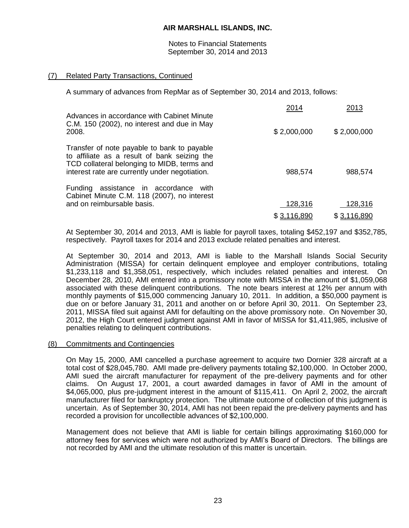Notes to Financial Statements September 30, 2014 and 2013

### (7) Related Party Transactions, Continued

A summary of advances from RepMar as of September 30, 2014 and 2013, follows:

| Advances in accordance with Cabinet Minute                                                                                                                                                   | 2014        | 2013        |
|----------------------------------------------------------------------------------------------------------------------------------------------------------------------------------------------|-------------|-------------|
| C.M. 150 (2002), no interest and due in May<br>2008.                                                                                                                                         | \$2,000,000 | \$2,000,000 |
| Transfer of note payable to bank to payable<br>to affiliate as a result of bank seizing the<br>TCD collateral belonging to MIDB, terms and<br>interest rate are currently under negotiation. | 988,574     | 988,574     |
| Funding assistance in accordance<br>with<br>Cabinet Minute C.M. 118 (2007), no interest<br>and on reimbursable basis.                                                                        | 128,316     | 128,316     |
|                                                                                                                                                                                              | \$3,116,890 | \$3,116,890 |

At September 30, 2014 and 2013, AMI is liable for payroll taxes, totaling \$452,197 and \$352,785, respectively. Payroll taxes for 2014 and 2013 exclude related penalties and interest.

At September 30, 2014 and 2013, AMI is liable to the Marshall Islands Social Security Administration (MISSA) for certain delinquent employee and employer contributions, totaling \$1,233,118 and \$1,358,051, respectively, which includes related penalties and interest. On December 28, 2010, AMI entered into a promissory note with MISSA in the amount of \$1,059,068 associated with these delinquent contributions. The note bears interest at 12% per annum with monthly payments of \$15,000 commencing January 10, 2011. In addition, a \$50,000 payment is due on or before January 31, 2011 and another on or before April 30, 2011. On September 23, 2011, MISSA filed suit against AMI for defaulting on the above promissory note. On November 30, 2012, the High Court entered judgment against AMI in favor of MISSA for \$1,411,985, inclusive of penalties relating to delinquent contributions.

### (8) Commitments and Contingencies

On May 15, 2000, AMI cancelled a purchase agreement to acquire two Dornier 328 aircraft at a total cost of \$28,045,780. AMI made pre-delivery payments totaling \$2,100,000. In October 2000, AMI sued the aircraft manufacturer for repayment of the pre-delivery payments and for other claims. On August 17, 2001, a court awarded damages in favor of AMI in the amount of \$4,065,000, plus pre-judgment interest in the amount of \$115,411. On April 2, 2002, the aircraft manufacturer filed for bankruptcy protection. The ultimate outcome of collection of this judgment is uncertain. As of September 30, 2014, AMI has not been repaid the pre-delivery payments and has recorded a provision for uncollectible advances of \$2,100,000.

Management does not believe that AMI is liable for certain billings approximating \$160,000 for attorney fees for services which were not authorized by AMI's Board of Directors. The billings are not recorded by AMI and the ultimate resolution of this matter is uncertain.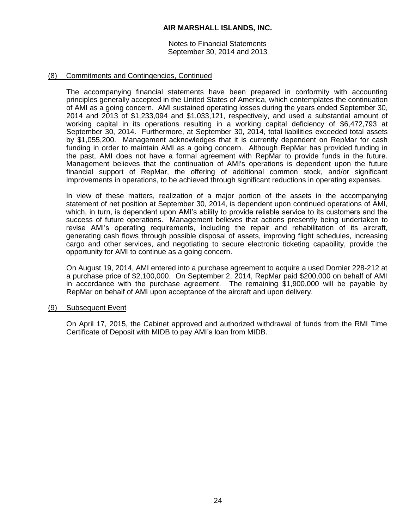Notes to Financial Statements September 30, 2014 and 2013

### (8) Commitments and Contingencies, Continued

The accompanying financial statements have been prepared in conformity with accounting principles generally accepted in the United States of America, which contemplates the continuation of AMI as a going concern. AMI sustained operating losses during the years ended September 30, 2014 and 2013 of \$1,233,094 and \$1,033,121, respectively, and used a substantial amount of working capital in its operations resulting in a working capital deficiency of \$6,472,793 at September 30, 2014. Furthermore, at September 30, 2014, total liabilities exceeded total assets by \$1,055,200. Management acknowledges that it is currently dependent on RepMar for cash funding in order to maintain AMI as a going concern. Although RepMar has provided funding in the past, AMI does not have a formal agreement with RepMar to provide funds in the future. Management believes that the continuation of AMI's operations is dependent upon the future financial support of RepMar, the offering of additional common stock, and/or significant improvements in operations, to be achieved through significant reductions in operating expenses.

In view of these matters, realization of a major portion of the assets in the accompanying statement of net position at September 30, 2014, is dependent upon continued operations of AMI, which, in turn, is dependent upon AMI's ability to provide reliable service to its customers and the success of future operations. Management believes that actions presently being undertaken to revise AMI's operating requirements, including the repair and rehabilitation of its aircraft, generating cash flows through possible disposal of assets, improving flight schedules, increasing cargo and other services, and negotiating to secure electronic ticketing capability, provide the opportunity for AMI to continue as a going concern.

On August 19, 2014, AMI entered into a purchase agreement to acquire a used Dornier 228-212 at a purchase price of \$2,100,000. On September 2, 2014, RepMar paid \$200,000 on behalf of AMI in accordance with the purchase agreement. The remaining \$1,900,000 will be payable by RepMar on behalf of AMI upon acceptance of the aircraft and upon delivery.

### (9) Subsequent Event

On April 17, 2015, the Cabinet approved and authorized withdrawal of funds from the RMI Time Certificate of Deposit with MIDB to pay AMI's loan from MIDB.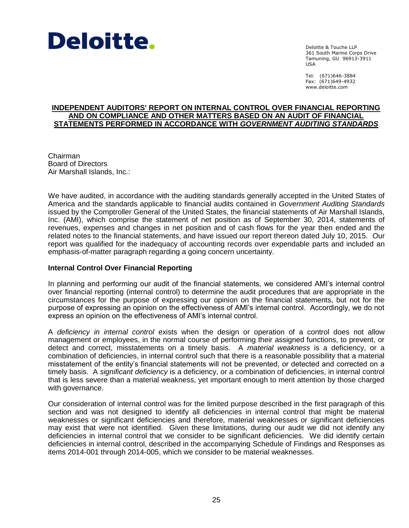

Deloitte & Touche LLP 361 South Marine Corps Drive Tamuning, GU 96913-3911 USA

Tel: (671)646-3884 Fax: (671)649-4932 www.deloitte.com

### **INDEPENDENT AUDITORS' REPORT ON INTERNAL CONTROL OVER FINANCIAL REPORTING AND ON COMPLIANCE AND OTHER MATTERS BASED ON AN AUDIT OF FINANCIAL STATEMENTS PERFORMED IN ACCORDANCE WITH** *GOVERNMENT AUDITING STANDARDS*

Chairman Board of Directors Air Marshall Islands, Inc.:

We have audited, in accordance with the auditing standards generally accepted in the United States of America and the standards applicable to financial audits contained in *Government Auditing Standards* issued by the Comptroller General of the United States, the financial statements of Air Marshall Islands, Inc. (AMI), which comprise the statement of net position as of September 30, 2014, statements of revenues, expenses and changes in net position and of cash flows for the year then ended and the related notes to the financial statements, and have issued our report thereon dated July 10, 2015. Our report was qualified for the inadequacy of accounting records over expendable parts and included an emphasis-of-matter paragraph regarding a going concern uncertainty.

### **Internal Control Over Financial Reporting**

In planning and performing our audit of the financial statements, we considered AMI's internal control over financial reporting (internal control) to determine the audit procedures that are appropriate in the circumstances for the purpose of expressing our opinion on the financial statements, but not for the purpose of expressing an opinion on the effectiveness of AMI's internal control. Accordingly, we do not express an opinion on the effectiveness of AMI's internal control.

A *deficiency in internal control* exists when the design or operation of a control does not allow management or employees, in the normal course of performing their assigned functions, to prevent, or detect and correct, misstatements on a timely basis. A *material weakness* is a deficiency, or a combination of deficiencies, in internal control such that there is a reasonable possibility that a material misstatement of the entity's financial statements will not be prevented, or detected and corrected on a timely basis. A *significant deficiency* is a deficiency, or a combination of deficiencies, in internal control that is less severe than a material weakness, yet important enough to merit attention by those charged with governance.

Our consideration of internal control was for the limited purpose described in the first paragraph of this section and was not designed to identify all deficiencies in internal control that might be material weaknesses or significant deficiencies and therefore, material weaknesses or significant deficiencies may exist that were not identified. Given these limitations, during our audit we did not identify any deficiencies in internal control that we consider to be significant deficiencies. We did identify certain deficiencies in internal control, described in the accompanying Schedule of Findings and Responses as items 2014-001 through 2014-005, which we consider to be material weaknesses.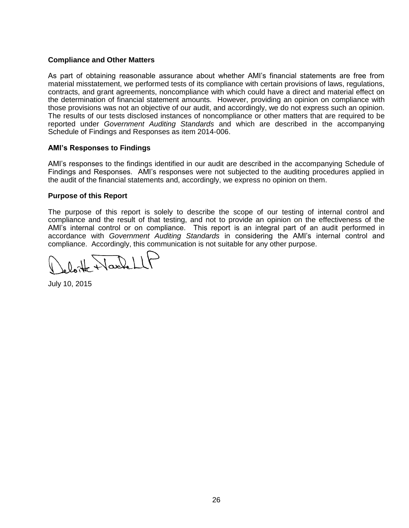### **Compliance and Other Matters**

As part of obtaining reasonable assurance about whether AMI's financial statements are free from material misstatement, we performed tests of its compliance with certain provisions of laws, regulations, contracts, and grant agreements, noncompliance with which could have a direct and material effect on the determination of financial statement amounts. However, providing an opinion on compliance with those provisions was not an objective of our audit, and accordingly, we do not express such an opinion. The results of our tests disclosed instances of noncompliance or other matters that are required to be reported under *Government Auditing Standards* and which are described in the accompanying Schedule of Findings and Responses as item 2014-006.

### **AMI's Responses to Findings**

AMI's responses to the findings identified in our audit are described in the accompanying Schedule of Findings and Responses. AMI's responses were not subjected to the auditing procedures applied in the audit of the financial statements and, accordingly, we express no opinion on them.

### **Purpose of this Report**

The purpose of this report is solely to describe the scope of our testing of internal control and compliance and the result of that testing, and not to provide an opinion on the effectiveness of the AMI's internal control or on compliance. This report is an integral part of an audit performed in accordance with *Government Auditing Standards* in considering the AMI's internal control and compliance. Accordingly, this communication is not suitable for any other purpose.

H Nachell

July 10, 2015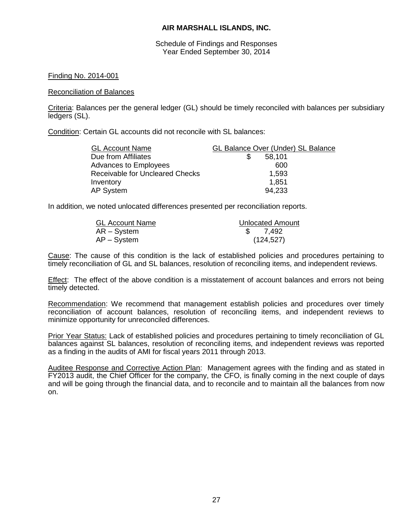Schedule of Findings and Responses Year Ended September 30, 2014

### Finding No. 2014-001

#### Reconciliation of Balances

Criteria: Balances per the general ledger (GL) should be timely reconciled with balances per subsidiary ledgers (SL).

Condition: Certain GL accounts did not reconcile with SL balances:

| <b>GL Account Name</b>                 | <b>GL Balance Over (Under) SL Balance</b> |
|----------------------------------------|-------------------------------------------|
| Due from Affiliates                    | 58,101                                    |
| Advances to Employees                  | 600                                       |
| <b>Receivable for Uncleared Checks</b> | 1,593                                     |
| Inventory                              | 1,851                                     |
| AP System                              | 94,233                                    |

In addition, we noted unlocated differences presented per reconciliation reports.

| <b>GL Account Name</b> | Unlocated Amount |
|------------------------|------------------|
| $AR - System$          | \$ 7.492         |
| $AP - System$          | (124, 527)       |

Cause: The cause of this condition is the lack of established policies and procedures pertaining to timely reconciliation of GL and SL balances, resolution of reconciling items, and independent reviews.

Effect: The effect of the above condition is a misstatement of account balances and errors not being timely detected.

Recommendation: We recommend that management establish policies and procedures over timely reconciliation of account balances, resolution of reconciling items, and independent reviews to minimize opportunity for unreconciled differences.

Prior Year Status: Lack of established policies and procedures pertaining to timely reconciliation of GL balances against SL balances, resolution of reconciling items, and independent reviews was reported as a finding in the audits of AMI for fiscal years 2011 through 2013.

Auditee Response and Corrective Action Plan: Management agrees with the finding and as stated in FY2013 audit, the Chief Officer for the company, the CFO, is finally coming in the next couple of days and will be going through the financial data, and to reconcile and to maintain all the balances from now on.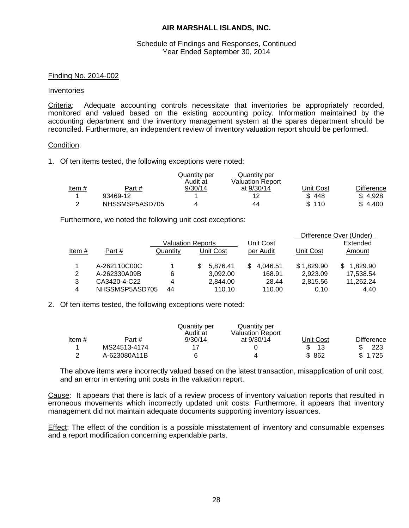#### Schedule of Findings and Responses, Continued Year Ended September 30, 2014

#### Finding No. 2014-002

#### Inventories

Criteria: Adequate accounting controls necessitate that inventories be appropriately recorded, monitored and valued based on the existing accounting policy. Information maintained by the accounting department and the inventory management system at the spares department should be reconciled. Furthermore, an independent review of inventory valuation report should be performed.

#### Condition:

1. Of ten items tested, the following exceptions were noted:

|          |                | Quantity per<br>Audit at | Quantity per<br><b>Valuation Report</b> |           |                   |
|----------|----------------|--------------------------|-----------------------------------------|-----------|-------------------|
| Item $#$ | Part #         | 9/30/14                  | at 9/30/14                              | Unit Cost | <b>Difference</b> |
|          | 93469-12       |                          | 12                                      | \$448     | \$4.928           |
| c        | NHSSMSP5ASD705 |                          | 44                                      | \$110     | \$4.400           |

Furthermore, we noted the following unit cost exceptions:

|       |                |          |                          |                 |            | Difference Over (Under) |
|-------|----------------|----------|--------------------------|-----------------|------------|-------------------------|
|       |                |          | <b>Valuation Reports</b> | Unit Cost       |            | Extended                |
| Item# | Part#          | Quantity | Unit Cost                | per Audit       | Unit Cost  | Amount                  |
|       | A-262110C00C   |          | 5.876.41                 | 4,046.51<br>\$. | \$1,829.90 | 1,829.90<br>S.          |
| 2     | A-262330A09B   | 6        | 3,092.00                 | 168.91          | 2,923.09   | 17,538.54               |
| 3     | CA3420-4-C22   | 4        | 2,844.00                 | 28.44           | 2,815.56   | 11,262.24               |
| 4     | NHSSMSP5ASD705 | 44       | 110.10                   | 110.00          | 0.10       | 4.40                    |

2. Of ten items tested, the following exceptions were noted:

|               |              | Quantity per<br>Audit at | Quantity per<br><b>Valuation Report</b> |           |            |
|---------------|--------------|--------------------------|-----------------------------------------|-----------|------------|
| Item $#$      | Part #       | 9/30/14                  | at 9/30/14                              | Jnit Cost | Difference |
|               | MS24513-4174 | 17                       |                                         | 13        | 223        |
| າ<br><u>_</u> | A-623080A11B |                          | 4                                       | 862<br>\$ | \$1.725    |

The above items were incorrectly valued based on the latest transaction, misapplication of unit cost, and an error in entering unit costs in the valuation report.

Cause: It appears that there is lack of a review process of inventory valuation reports that resulted in erroneous movements which incorrectly updated unit costs. Furthermore, it appears that inventory management did not maintain adequate documents supporting inventory issuances.

Effect: The effect of the condition is a possible misstatement of inventory and consumable expenses and a report modification concerning expendable parts.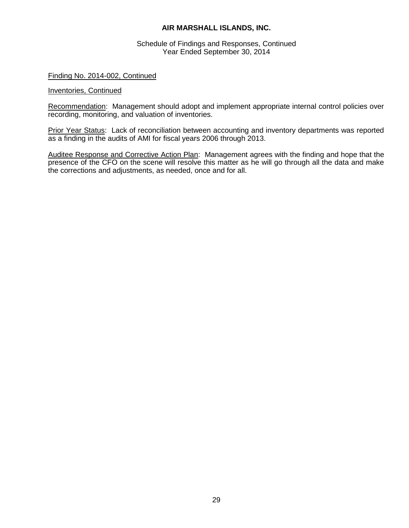Schedule of Findings and Responses, Continued Year Ended September 30, 2014

#### Finding No. 2014-002, Continued

#### Inventories, Continued

Recommendation: Management should adopt and implement appropriate internal control policies over recording, monitoring, and valuation of inventories.

Prior Year Status: Lack of reconciliation between accounting and inventory departments was reported as a finding in the audits of AMI for fiscal years 2006 through 2013.

Auditee Response and Corrective Action Plan: Management agrees with the finding and hope that the presence of the CFO on the scene will resolve this matter as he will go through all the data and make the corrections and adjustments, as needed, once and for all.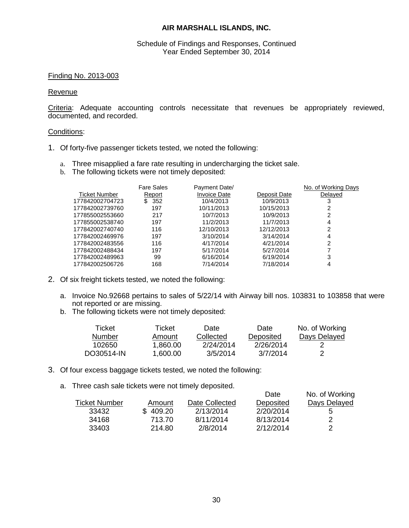Schedule of Findings and Responses, Continued Year Ended September 30, 2014

#### Finding No. 2013-003

#### Revenue

Criteria: Adequate accounting controls necessitate that revenues be appropriately reviewed, documented, and recorded.

#### Conditions:

- 1. Of forty-five passenger tickets tested, we noted the following:
	- a. Three misapplied a fare rate resulting in undercharging the ticket sale.
	- b. The following tickets were not timely deposited:

| <b>Fare Sales</b> | Payment Date/ |              | No. of Working Days |
|-------------------|---------------|--------------|---------------------|
| Report            | Invoice Date  | Deposit Date | Delayed             |
| 352<br>\$.        | 10/4/2013     | 10/9/2013    | 3                   |
| 197               | 10/11/2013    | 10/15/2013   | 2                   |
| 217               | 10/7/2013     | 10/9/2013    | 2                   |
| 197               | 11/2/2013     | 11/7/2013    | 4                   |
| 116               | 12/10/2013    | 12/12/2013   | 2                   |
| 197               | 3/10/2014     | 3/14/2014    | 4                   |
| 116               | 4/17/2014     | 4/21/2014    | 2                   |
| 197               | 5/17/2014     | 5/27/2014    |                     |
| 99                | 6/16/2014     | 6/19/2014    | 3                   |
| 168               | 7/14/2014     | 7/18/2014    | 4                   |
|                   |               |              |                     |

- 2. Of six freight tickets tested, we noted the following:
	- a. Invoice No.92668 pertains to sales of 5/22/14 with Airway bill nos. 103831 to 103858 that were not reported or are missing.
	- b. The following tickets were not timely deposited:

| Ticket     | Ticket   | Date      | Date      | No. of Working |
|------------|----------|-----------|-----------|----------------|
| Number     | Amount   | Collected | Deposited | Days Delayed   |
| 102650     | 1.860.00 | 2/24/2014 | 2/26/2014 |                |
| DO30514-IN | 1.600.00 | 3/5/2014  | 3/7/2014  |                |

- 3. Of four excess baggage tickets tested, we noted the following:
	- a. Three cash sale tickets were not timely deposited.

|                      |          |                | Date      | No. of Working |
|----------------------|----------|----------------|-----------|----------------|
| <b>Ticket Number</b> | Amount   | Date Collected | Deposited | Days Delayed   |
| 33432                | \$409.20 | 2/13/2014      | 2/20/2014 | 5              |
| 34168                | 713.70   | 8/11/2014      | 8/13/2014 | 2              |
| 33403                | 214.80   | 2/8/2014       | 2/12/2014 | 2              |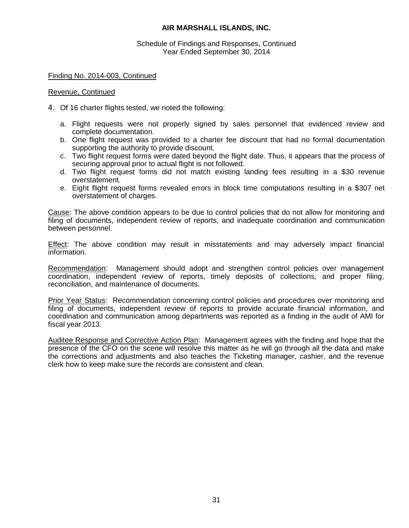Schedule of Findings and Responses, Continued Year Ended September 30, 2014

Finding No. 2014-003, Continued

#### Revenue, Continued

- 4. Of 16 charter flights tested, we noted the following:
	- a. Flight requests were not properly signed by sales personnel that evidenced review and complete documentation.
	- b. One flight request was provided to a charter fee discount that had no formal documentation supporting the authority to provide discount.
	- c. Two flight request forms were dated beyond the flight date. Thus, it appears that the process of securing approval prior to actual flight is not followed.
	- d. Two flight request forms did not match existing landing fees resulting in a \$30 revenue overstatement.
	- e. Eight flight request forms revealed errors in block time computations resulting in a \$307 net overstatement of charges.

Cause: The above condition appears to be due to control policies that do not allow for monitoring and filing of documents, independent review of reports, and inadequate coordination and communication between personnel.

Effect: The above condition may result in misstatements and may adversely impact financial information.

Recommendation: Management should adopt and strengthen control policies over management coordination, independent review of reports, timely deposits of collections, and proper filing, reconciliation, and maintenance of documents.

Prior Year Status: Recommendation concerning control policies and procedures over monitoring and filing of documents, independent review of reports to provide accurate financial information, and coordination and communication among departments was reported as a finding in the audit of AMI for fiscal year 2013.

Auditee Response and Corrective Action Plan: Management agrees with the finding and hope that the presence of the CFO on the scene will resolve this matter as he will go through all the data and make the corrections and adjustments and also teaches the Ticketing manager, cashier, and the revenue clerk how to keep make sure the records are consistent and clean.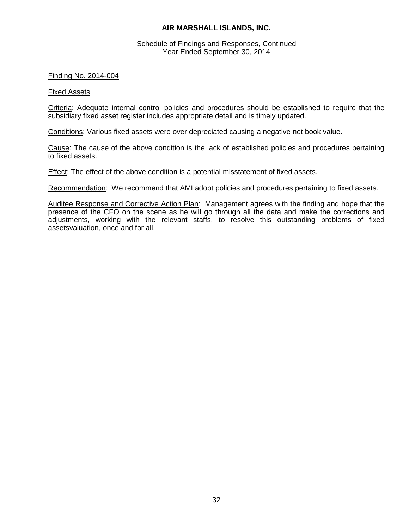#### Schedule of Findings and Responses, Continued Year Ended September 30, 2014

#### Finding No. 2014-004

#### Fixed Assets

Criteria: Adequate internal control policies and procedures should be established to require that the subsidiary fixed asset register includes appropriate detail and is timely updated.

Conditions: Various fixed assets were over depreciated causing a negative net book value.

Cause: The cause of the above condition is the lack of established policies and procedures pertaining to fixed assets.

Effect: The effect of the above condition is a potential misstatement of fixed assets.

Recommendation: We recommend that AMI adopt policies and procedures pertaining to fixed assets.

Auditee Response and Corrective Action Plan: Management agrees with the finding and hope that the presence of the CFO on the scene as he will go through all the data and make the corrections and adjustments, working with the relevant staffs, to resolve this outstanding problems of fixed assetsvaluation, once and for all.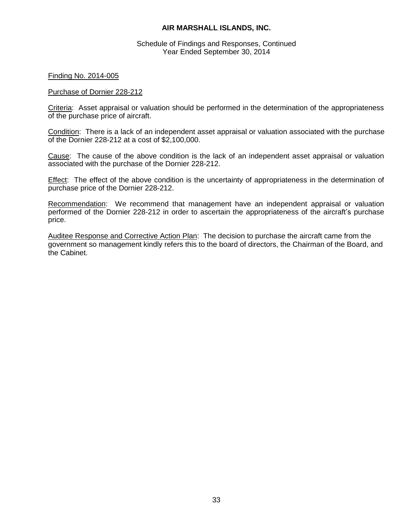Schedule of Findings and Responses, Continued Year Ended September 30, 2014

Finding No. 2014-005

#### Purchase of Dornier 228-212

Criteria: Asset appraisal or valuation should be performed in the determination of the appropriateness of the purchase price of aircraft.

Condition: There is a lack of an independent asset appraisal or valuation associated with the purchase of the Dornier 228-212 at a cost of \$2,100,000.

Cause: The cause of the above condition is the lack of an independent asset appraisal or valuation associated with the purchase of the Dornier 228-212.

Effect: The effect of the above condition is the uncertainty of appropriateness in the determination of purchase price of the Dornier 228-212.

Recommendation: We recommend that management have an independent appraisal or valuation performed of the Dornier 228-212 in order to ascertain the appropriateness of the aircraft's purchase price.

Auditee Response and Corrective Action Plan: The decision to purchase the aircraft came from the government so management kindly refers this to the board of directors, the Chairman of the Board, and the Cabinet.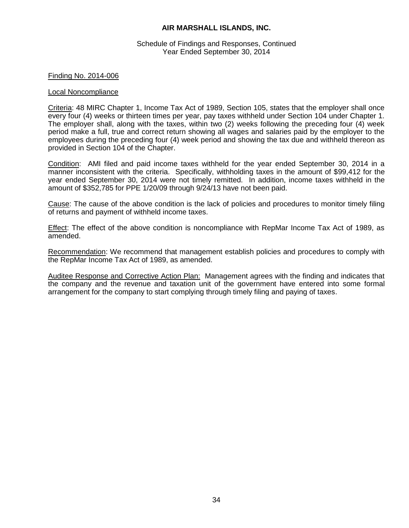Schedule of Findings and Responses, Continued Year Ended September 30, 2014

#### Finding No. 2014-006

#### Local Noncompliance

Criteria: 48 MIRC Chapter 1, Income Tax Act of 1989, Section 105, states that the employer shall once every four (4) weeks or thirteen times per year, pay taxes withheld under Section 104 under Chapter 1. The employer shall, along with the taxes, within two (2) weeks following the preceding four (4) week period make a full, true and correct return showing all wages and salaries paid by the employer to the employees during the preceding four (4) week period and showing the tax due and withheld thereon as provided in Section 104 of the Chapter.

Condition: AMI filed and paid income taxes withheld for the year ended September 30, 2014 in a manner inconsistent with the criteria. Specifically, withholding taxes in the amount of \$99,412 for the year ended September 30, 2014 were not timely remitted. In addition, income taxes withheld in the amount of \$352,785 for PPE 1/20/09 through 9/24/13 have not been paid.

Cause: The cause of the above condition is the lack of policies and procedures to monitor timely filing of returns and payment of withheld income taxes.

Effect: The effect of the above condition is noncompliance with RepMar Income Tax Act of 1989, as amended.

Recommendation: We recommend that management establish policies and procedures to comply with the RepMar Income Tax Act of 1989, as amended.

Auditee Response and Corrective Action Plan: Management agrees with the finding and indicates that the company and the revenue and taxation unit of the government have entered into some formal arrangement for the company to start complying through timely filing and paying of taxes.